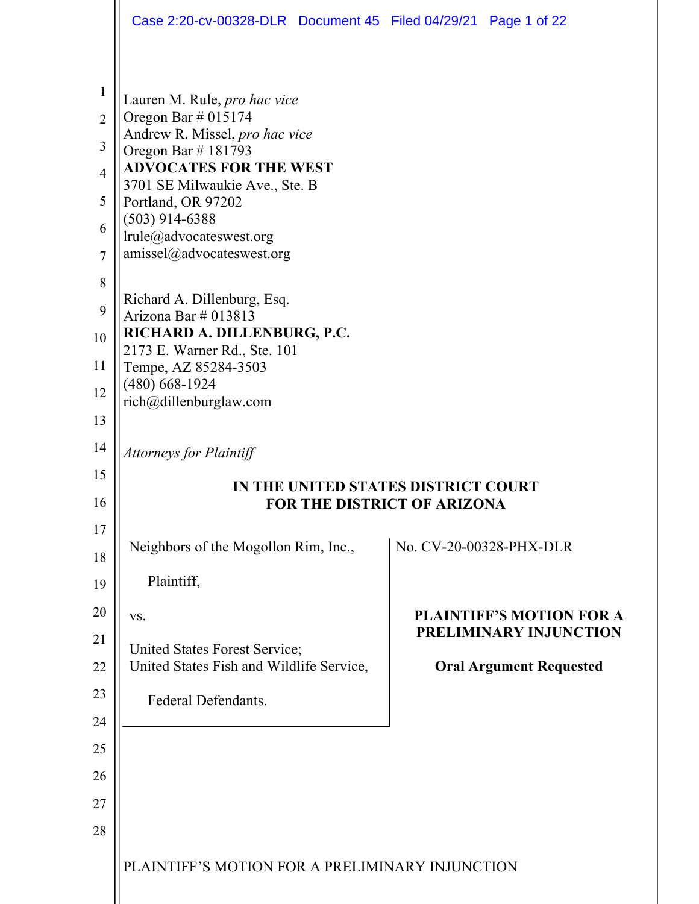|                | Case 2:20-cv-00328-DLR  Document 45  Filed 04/29/21  Page 1 of 22  |                                                           |  |  |  |
|----------------|--------------------------------------------------------------------|-----------------------------------------------------------|--|--|--|
|                |                                                                    |                                                           |  |  |  |
| $\mathbf{1}$   | Lauren M. Rule, pro hac vice                                       |                                                           |  |  |  |
| $\overline{2}$ | Oregon Bar $\#$ 015174<br>Andrew R. Missel, pro hac vice           |                                                           |  |  |  |
| 3              | Oregon Bar $\#$ 181793                                             |                                                           |  |  |  |
| $\overline{4}$ | <b>ADVOCATES FOR THE WEST</b><br>3701 SE Milwaukie Ave., Ste. B    |                                                           |  |  |  |
| 5              | Portland, OR 97202                                                 |                                                           |  |  |  |
| 6              | $(503)$ 914-6388<br>lrule@advocateswest.org                        |                                                           |  |  |  |
| $\overline{7}$ | amissel@advocateswest.org                                          |                                                           |  |  |  |
| 8              | Richard A. Dillenburg, Esq.                                        |                                                           |  |  |  |
| 9              | Arizona Bar $\#$ 013813                                            |                                                           |  |  |  |
| 10             | RICHARD A. DILLENBURG, P.C.<br>2173 E. Warner Rd., Ste. 101        |                                                           |  |  |  |
| 11             | Tempe, AZ 85284-3503<br>$(480)$ 668-1924<br>rich@dillenburglaw.com |                                                           |  |  |  |
| 12             |                                                                    |                                                           |  |  |  |
| 13             |                                                                    |                                                           |  |  |  |
| 14             | <b>Attorneys for Plaintiff</b>                                     |                                                           |  |  |  |
| 15             | IN THE UNITED STATES DISTRICT COURT<br>FOR THE DISTRICT OF ARIZONA |                                                           |  |  |  |
| 16             |                                                                    |                                                           |  |  |  |
| 17             | Neighbors of the Mogollon Rim, Inc.,                               | No. CV-20-00328-PHX-DLR                                   |  |  |  |
| 18             |                                                                    |                                                           |  |  |  |
| 19             | Plaintiff,                                                         |                                                           |  |  |  |
| 20             | VS.                                                                | <b>PLAINTIFF'S MOTION FOR A</b><br>PRELIMINARY INJUNCTION |  |  |  |
| 21             | United States Forest Service;                                      |                                                           |  |  |  |
| 22             | United States Fish and Wildlife Service,                           | <b>Oral Argument Requested</b>                            |  |  |  |
| 23             | Federal Defendants.                                                |                                                           |  |  |  |
| 24             |                                                                    |                                                           |  |  |  |
| 25             |                                                                    |                                                           |  |  |  |
| 26             |                                                                    |                                                           |  |  |  |
| 27             |                                                                    |                                                           |  |  |  |
| 28             |                                                                    |                                                           |  |  |  |
|                | PLAINTIFF'S MOTION FOR A PRELIMINARY INJUNCTION                    |                                                           |  |  |  |
|                |                                                                    |                                                           |  |  |  |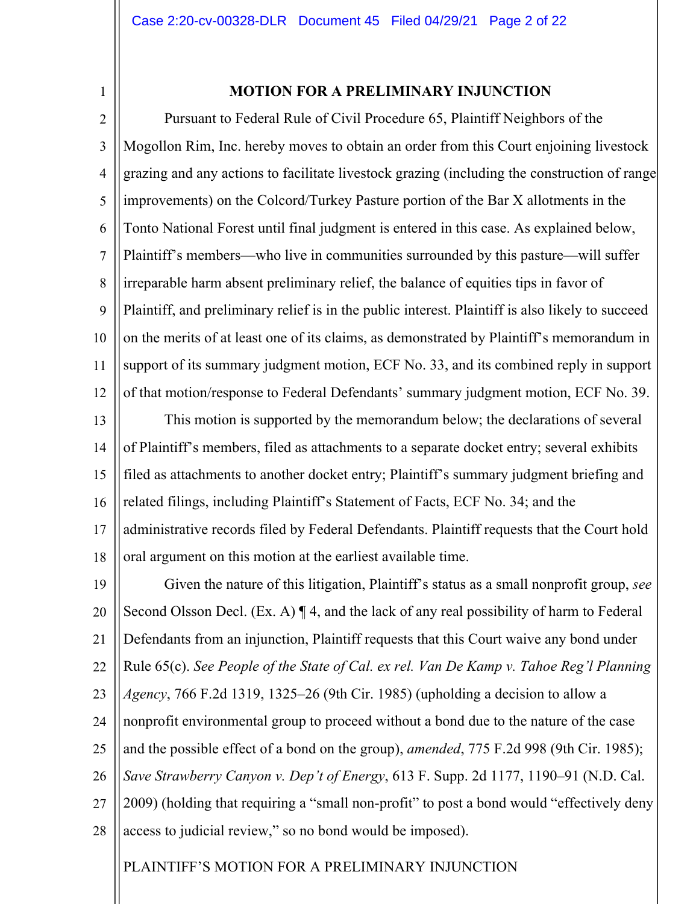1

#### **MOTION FOR A PRELIMINARY INJUNCTION**

2 3 4 5 6 7 8 9 10 11 12 Pursuant to Federal Rule of Civil Procedure 65, Plaintiff Neighbors of the Mogollon Rim, Inc. hereby moves to obtain an order from this Court enjoining livestock grazing and any actions to facilitate livestock grazing (including the construction of range improvements) on the Colcord/Turkey Pasture portion of the Bar X allotments in the Tonto National Forest until final judgment is entered in this case. As explained below, Plaintiff's members—who live in communities surrounded by this pasture—will suffer irreparable harm absent preliminary relief, the balance of equities tips in favor of Plaintiff, and preliminary relief is in the public interest. Plaintiff is also likely to succeed on the merits of at least one of its claims, as demonstrated by Plaintiff's memorandum in support of its summary judgment motion, ECF No. 33, and its combined reply in support of that motion/response to Federal Defendants' summary judgment motion, ECF No. 39.

13 14 15 16 17 18 This motion is supported by the memorandum below; the declarations of several of Plaintiff's members, filed as attachments to a separate docket entry; several exhibits filed as attachments to another docket entry; Plaintiff's summary judgment briefing and related filings, including Plaintiff's Statement of Facts, ECF No. 34; and the administrative records filed by Federal Defendants. Plaintiff requests that the Court hold oral argument on this motion at the earliest available time.

19 20 21 22 23 24 25 26 27 28 Given the nature of this litigation, Plaintiff's status as a small nonprofit group, *see*  Second Olsson Decl. (Ex. A) ¶ 4, and the lack of any real possibility of harm to Federal Defendants from an injunction, Plaintiff requests that this Court waive any bond under Rule 65(c). *See People of the State of Cal. ex rel. Van De Kamp v. Tahoe Reg'l Planning Agency*, 766 F.2d 1319, 1325–26 (9th Cir. 1985) (upholding a decision to allow a nonprofit environmental group to proceed without a bond due to the nature of the case and the possible effect of a bond on the group), *amended*, 775 F.2d 998 (9th Cir. 1985); *Save Strawberry Canyon v. Dep't of Energy*, 613 F. Supp. 2d 1177, 1190–91 (N.D. Cal. 2009) (holding that requiring a "small non-profit" to post a bond would "effectively deny access to judicial review," so no bond would be imposed).

PLAINTIFF'S MOTION FOR A PRELIMINARY INJUNCTION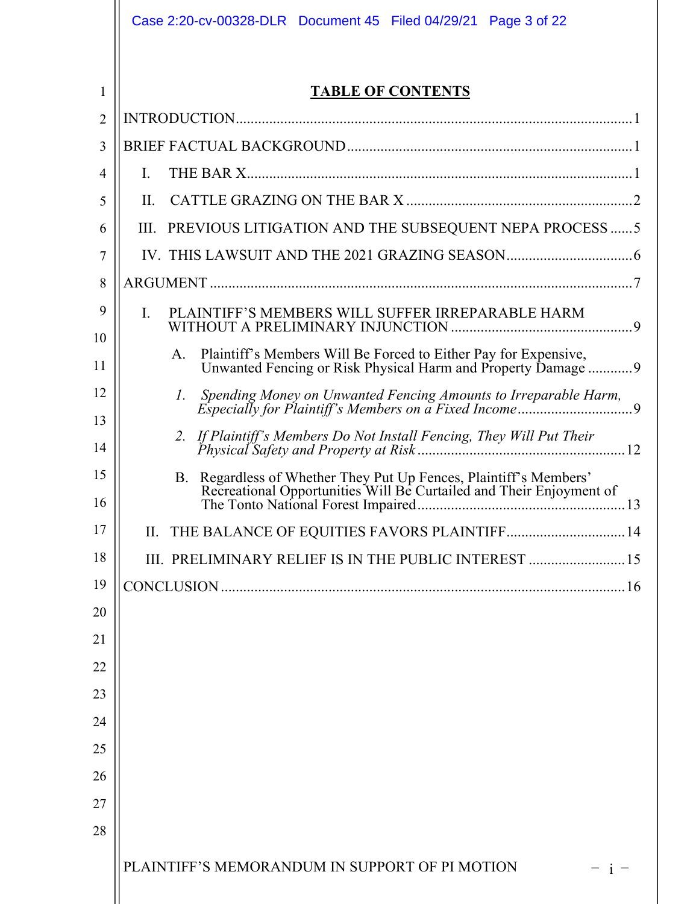|                | Case 2:20-cv-00328-DLR Document 45 Filed 04/29/21 Page 3 of 22                                                                           |  |  |
|----------------|------------------------------------------------------------------------------------------------------------------------------------------|--|--|
| 1              | <b>TABLE OF CONTENTS</b>                                                                                                                 |  |  |
| $\overline{2}$ |                                                                                                                                          |  |  |
| 3              |                                                                                                                                          |  |  |
| 4              | L.                                                                                                                                       |  |  |
| 5              | II.                                                                                                                                      |  |  |
| 6              | PREVIOUS LITIGATION AND THE SUBSEQUENT NEPA PROCESS  5<br>III.                                                                           |  |  |
| 7              |                                                                                                                                          |  |  |
| 8              |                                                                                                                                          |  |  |
| 9<br>10        | PLAINTIFF'S MEMBERS WILL SUFFER IRREPARABLE HARM<br>L.                                                                                   |  |  |
| 11             | Plaintiff's Members Will Be Forced to Either Pay for Expensive,<br>А.<br>Unwanted Fencing or Risk Physical Harm and Property Damage  9   |  |  |
| 12             | Spending Money on Unwanted Fencing Amounts to Irreparable Harm,<br>$\Gamma$ .                                                            |  |  |
| 13<br>14       | If Plaintiff's Members Do Not Install Fencing, They Will Put Their<br>2.                                                                 |  |  |
| 15<br>16       | B. Regardless of Whether They Put Up Fences, Plaintiff's Members'<br>Recreational Opportunities Will Be Curtailed and Their Enjoyment of |  |  |
| 17             | THE BALANCE OF EQUITIES FAVORS PLAINTIFF 14<br>П.                                                                                        |  |  |
| 18             | III. PRELIMINARY RELIEF IS IN THE PUBLIC INTEREST  15                                                                                    |  |  |
| 19             |                                                                                                                                          |  |  |
| 20             |                                                                                                                                          |  |  |
| 21             |                                                                                                                                          |  |  |
| 22             |                                                                                                                                          |  |  |
| 23             |                                                                                                                                          |  |  |
| 24             |                                                                                                                                          |  |  |
| 25<br>26       |                                                                                                                                          |  |  |
| 27             |                                                                                                                                          |  |  |
| 28             |                                                                                                                                          |  |  |
|                | PLAINTIFF'S MEMORANDUM IN SUPPORT OF PI MOTION                                                                                           |  |  |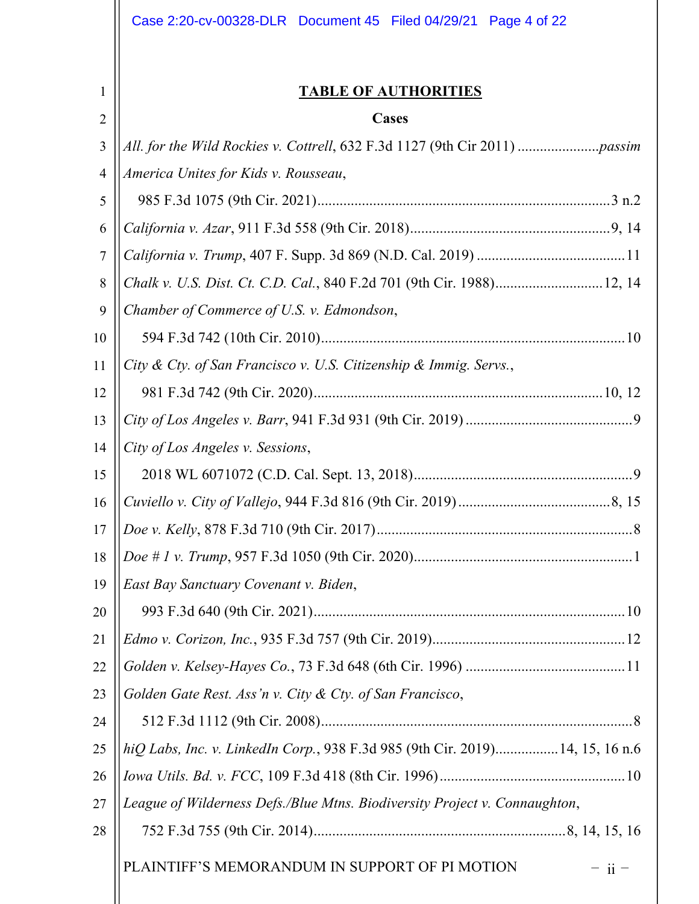|    | Case 2:20-cv-00328-DLR Document 45 Filed 04/29/21 Page 4 of 22               |  |  |  |
|----|------------------------------------------------------------------------------|--|--|--|
| 1  | <b>TABLE OF AUTHORITIES</b>                                                  |  |  |  |
| 2  | Cases                                                                        |  |  |  |
| 3  |                                                                              |  |  |  |
| 4  | America Unites for Kids v. Rousseau,                                         |  |  |  |
| 5  |                                                                              |  |  |  |
| 6  |                                                                              |  |  |  |
| 7  |                                                                              |  |  |  |
| 8  | Chalk v. U.S. Dist. Ct. C.D. Cal., 840 F.2d 701 (9th Cir. 1988) 12, 14       |  |  |  |
| 9  | Chamber of Commerce of U.S. v. Edmondson,                                    |  |  |  |
| 10 |                                                                              |  |  |  |
| 11 | City & Cty. of San Francisco v. U.S. Citizenship & Immig. Servs.,            |  |  |  |
| 12 |                                                                              |  |  |  |
| 13 |                                                                              |  |  |  |
| 14 | City of Los Angeles v. Sessions,                                             |  |  |  |
| 15 |                                                                              |  |  |  |
| 16 |                                                                              |  |  |  |
| 17 |                                                                              |  |  |  |
| 18 |                                                                              |  |  |  |
| 19 | East Bay Sanctuary Covenant v. Biden,                                        |  |  |  |
| 20 |                                                                              |  |  |  |
| 21 |                                                                              |  |  |  |
| 22 |                                                                              |  |  |  |
| 23 | Golden Gate Rest. Ass'n v. City & Cty. of San Francisco,                     |  |  |  |
| 24 |                                                                              |  |  |  |
| 25 | hiQ Labs, Inc. v. LinkedIn Corp., 938 F.3d 985 (9th Cir. 2019)14, 15, 16 n.6 |  |  |  |
| 26 |                                                                              |  |  |  |
| 27 | League of Wilderness Defs./Blue Mtns. Biodiversity Project v. Connaughton,   |  |  |  |
| 28 |                                                                              |  |  |  |
|    | PLAINTIFF'S MEMORANDUM IN SUPPORT OF PI MOTION<br>$-$ ii $-$                 |  |  |  |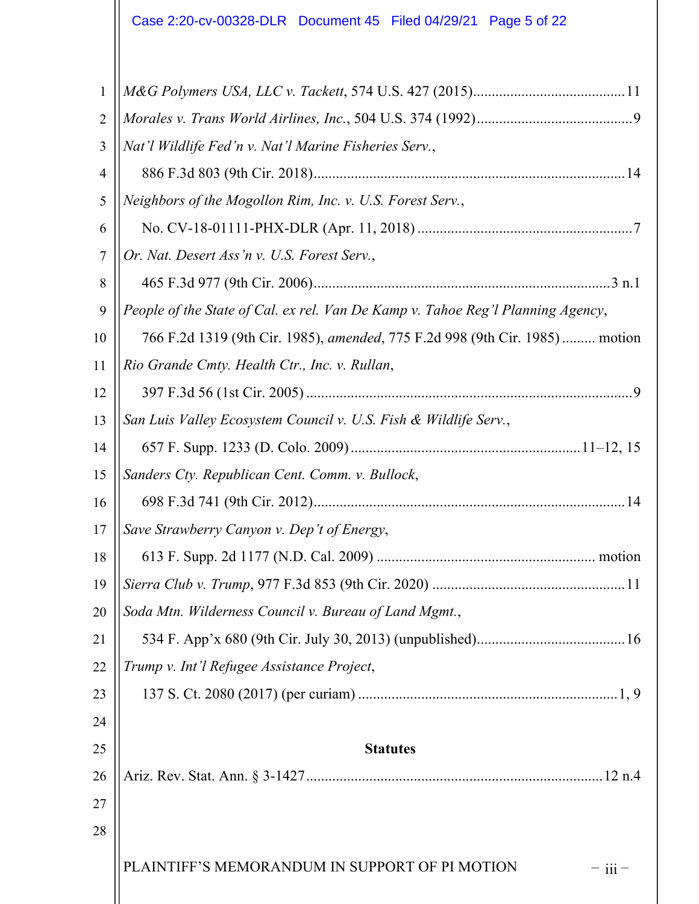# Case 2:20-cv-00328-DLR Document 45 Filed 04/29/21 Page 5 of 22

| $\mathbf{1}$   |                                                                                 |  |
|----------------|---------------------------------------------------------------------------------|--|
| $\overline{2}$ |                                                                                 |  |
| 3              | Nat'l Wildlife Fed'n v. Nat'l Marine Fisheries Serv.,                           |  |
| 4              |                                                                                 |  |
| 5              | Neighbors of the Mogollon Rim, Inc. v. U.S. Forest Serv.,                       |  |
| 6              |                                                                                 |  |
| 7              | Or. Nat. Desert Ass'n v. U.S. Forest Serv.,                                     |  |
| 8              |                                                                                 |  |
| 9              | People of the State of Cal. ex rel. Van De Kamp v. Tahoe Reg'l Planning Agency, |  |
| 10             | 766 F.2d 1319 (9th Cir. 1985), amended, 775 F.2d 998 (9th Cir. 1985)  motion    |  |
| 11             | Rio Grande Cmty. Health Ctr., Inc. v. Rullan,                                   |  |
| 12             |                                                                                 |  |
| 13             | San Luis Valley Ecosystem Council v. U.S. Fish & Wildlife Serv.,                |  |
| 14             |                                                                                 |  |
| 15             | Sanders Cty. Republican Cent. Comm. v. Bullock,                                 |  |
| 16             |                                                                                 |  |
| 17             | Save Strawberry Canyon v. Dep't of Energy,                                      |  |
| 18             |                                                                                 |  |
| 19             |                                                                                 |  |
| 20             | Soda Mtn. Wilderness Council v. Bureau of Land Mgmt.,                           |  |
| 21             |                                                                                 |  |
| 22             | Trump v. Int'l Refugee Assistance Project,                                      |  |
| 23             |                                                                                 |  |
| 24             |                                                                                 |  |
| 25             | <b>Statutes</b>                                                                 |  |
| 26             |                                                                                 |  |
| 27             |                                                                                 |  |
| 28             |                                                                                 |  |
|                | PLAINTIFF'S MEMORANDUM IN SUPPORT OF PI MOTION<br>$-$ iii $-$                   |  |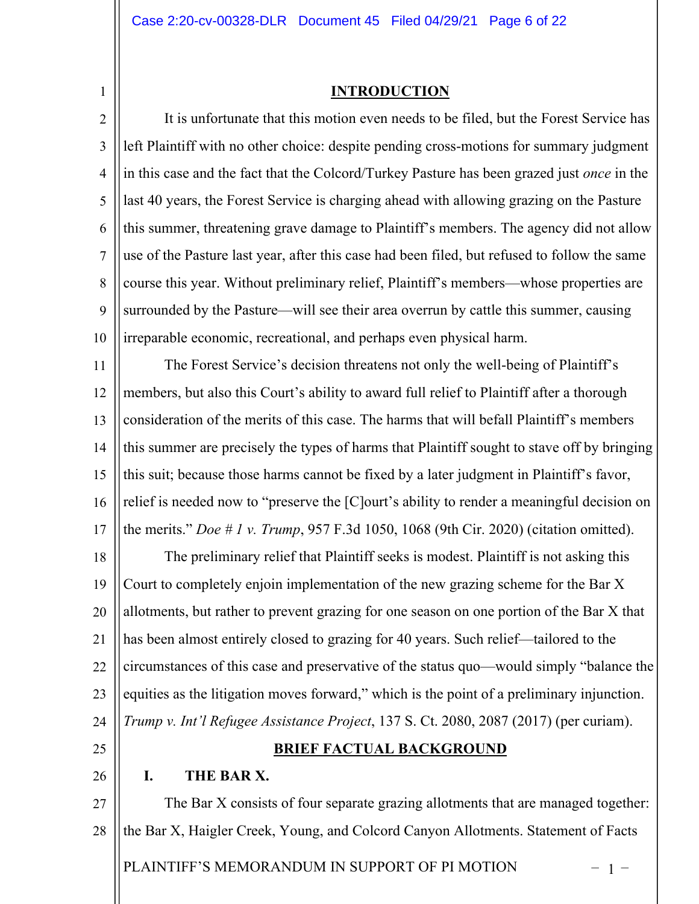1

#### **INTRODUCTION**

2 3 4 5 6 7 8 9 10 It is unfortunate that this motion even needs to be filed, but the Forest Service has left Plaintiff with no other choice: despite pending cross-motions for summary judgment in this case and the fact that the Colcord/Turkey Pasture has been grazed just *once* in the last 40 years, the Forest Service is charging ahead with allowing grazing on the Pasture this summer, threatening grave damage to Plaintiff's members. The agency did not allow use of the Pasture last year, after this case had been filed, but refused to follow the same course this year. Without preliminary relief, Plaintiff's members—whose properties are surrounded by the Pasture—will see their area overrun by cattle this summer, causing irreparable economic, recreational, and perhaps even physical harm.

11 12 13 14 15 16 17 The Forest Service's decision threatens not only the well-being of Plaintiff's members, but also this Court's ability to award full relief to Plaintiff after a thorough consideration of the merits of this case. The harms that will befall Plaintiff's members this summer are precisely the types of harms that Plaintiff sought to stave off by bringing this suit; because those harms cannot be fixed by a later judgment in Plaintiff's favor, relief is needed now to "preserve the [C]ourt's ability to render a meaningful decision on the merits." *Doe # 1 v. Trump*, 957 F.3d 1050, 1068 (9th Cir. 2020) (citation omitted).

18 19 20 21 22 23 24 The preliminary relief that Plaintiff seeks is modest. Plaintiff is not asking this Court to completely enjoin implementation of the new grazing scheme for the Bar X allotments, but rather to prevent grazing for one season on one portion of the Bar X that has been almost entirely closed to grazing for 40 years. Such relief—tailored to the circumstances of this case and preservative of the status quo—would simply "balance the equities as the litigation moves forward," which is the point of a preliminary injunction. *Trump v. Int'l Refugee Assistance Project*, 137 S. Ct. 2080, 2087 (2017) (per curiam).

- 25
- 26

# **BRIEF FACTUAL BACKGROUND**

# **I. THE BAR X.**

PLAINTIFF'S MEMORANDUM IN SUPPORT OF PI MOTION  $-1$  – 27 28 The Bar X consists of four separate grazing allotments that are managed together: the Bar X, Haigler Creek, Young, and Colcord Canyon Allotments. Statement of Facts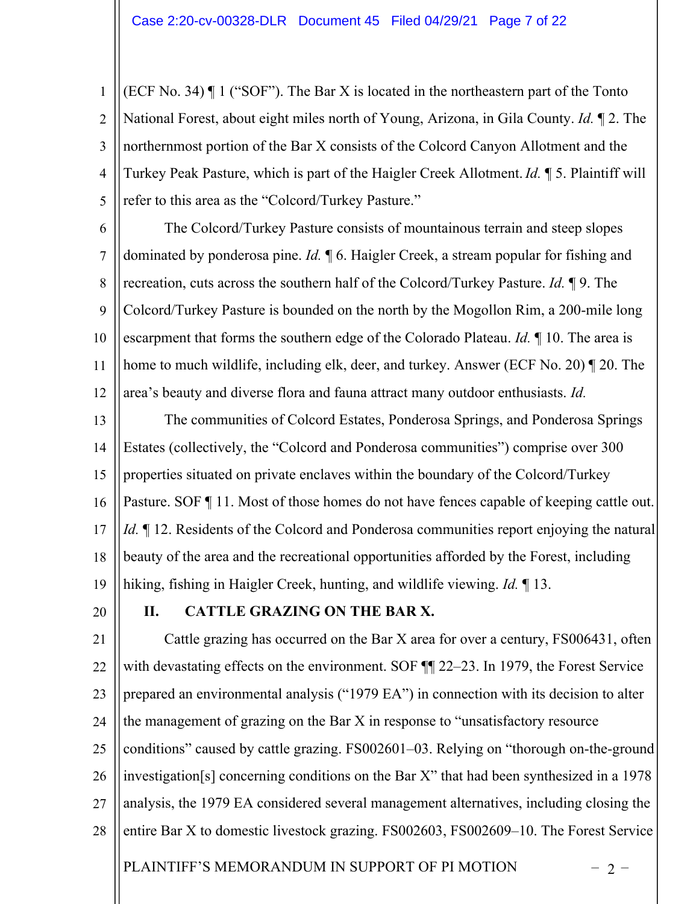1 2 3 4 5 (ECF No. 34) ¶ 1 ("SOF"). The Bar X is located in the northeastern part of the Tonto National Forest, about eight miles north of Young, Arizona, in Gila County. *Id.* ¶ 2. The northernmost portion of the Bar X consists of the Colcord Canyon Allotment and the Turkey Peak Pasture, which is part of the Haigler Creek Allotment.*Id.* ¶ 5. Plaintiff will refer to this area as the "Colcord/Turkey Pasture."

6 7 8  $\mathbf Q$ 10 11 12 The Colcord/Turkey Pasture consists of mountainous terrain and steep slopes dominated by ponderosa pine. *Id.* ¶ 6. Haigler Creek, a stream popular for fishing and recreation, cuts across the southern half of the Colcord/Turkey Pasture. *Id.* ¶ 9. The Colcord/Turkey Pasture is bounded on the north by the Mogollon Rim, a 200-mile long escarpment that forms the southern edge of the Colorado Plateau. *Id.* ¶ 10. The area is home to much wildlife, including elk, deer, and turkey. Answer (ECF No. 20) ¶ 20. The area's beauty and diverse flora and fauna attract many outdoor enthusiasts. *Id.*

13 14 15 16 17 18 19 The communities of Colcord Estates, Ponderosa Springs, and Ponderosa Springs Estates (collectively, the "Colcord and Ponderosa communities") comprise over 300 properties situated on private enclaves within the boundary of the Colcord/Turkey Pasture. SOF ¶ 11. Most of those homes do not have fences capable of keeping cattle out. *Id.*  $\parallel$  12. Residents of the Colcord and Ponderosa communities report enjoying the natural beauty of the area and the recreational opportunities afforded by the Forest, including hiking, fishing in Haigler Creek, hunting, and wildlife viewing. *Id.* ¶ 13.

20

# **II. CATTLE GRAZING ON THE BAR X.**

PLAINTIFF'S MEMORANDUM IN SUPPORT OF PI MOTION  $-2$  – 21 22 23 24 25 26 27 28 Cattle grazing has occurred on the Bar X area for over a century, FS006431, often with devastating effects on the environment. SOF  $\P$  22–23. In 1979, the Forest Service prepared an environmental analysis ("1979 EA") in connection with its decision to alter the management of grazing on the Bar X in response to "unsatisfactory resource conditions" caused by cattle grazing. FS002601–03. Relying on "thorough on-the-ground investigation[s] concerning conditions on the Bar X" that had been synthesized in a 1978 analysis, the 1979 EA considered several management alternatives, including closing the entire Bar X to domestic livestock grazing. FS002603, FS002609–10. The Forest Service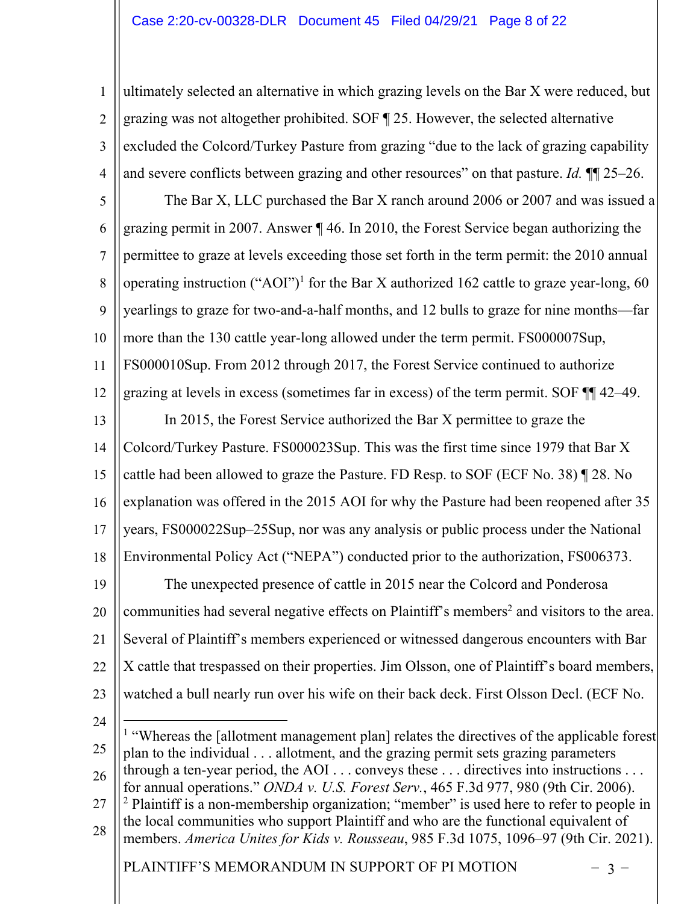#### Case 2:20-cv-00328-DLR Document 45 Filed 04/29/21 Page 8 of 22

1 2 3 4 ultimately selected an alternative in which grazing levels on the Bar X were reduced, but grazing was not altogether prohibited. SOF ¶ 25. However, the selected alternative excluded the Colcord/Turkey Pasture from grazing "due to the lack of grazing capability and severe conflicts between grazing and other resources" on that pasture. *Id.* ¶¶ 25–26.

5 6 7 8  $\overline{Q}$ 10 11 12 The Bar X, LLC purchased the Bar X ranch around 2006 or 2007 and was issued a grazing permit in 2007. Answer ¶ 46. In 2010, the Forest Service began authorizing the permittee to graze at levels exceeding those set forth in the term permit: the 2010 annual operating instruction ("AOI")<sup>1</sup> for the Bar X authorized 162 cattle to graze year-long, 60 yearlings to graze for two-and-a-half months, and 12 bulls to graze for nine months—far more than the 130 cattle year-long allowed under the term permit. FS000007Sup, FS000010Sup. From 2012 through 2017, the Forest Service continued to authorize grazing at levels in excess (sometimes far in excess) of the term permit. SOF ¶¶ 42–49.

13 14 15 16 17 18 19 20 21 22 23 In 2015, the Forest Service authorized the Bar X permittee to graze the Colcord/Turkey Pasture. FS000023Sup. This was the first time since 1979 that Bar X cattle had been allowed to graze the Pasture. FD Resp. to SOF (ECF No. 38) ¶ 28. No explanation was offered in the 2015 AOI for why the Pasture had been reopened after 35 years, FS000022Sup–25Sup, nor was any analysis or public process under the National Environmental Policy Act ("NEPA") conducted prior to the authorization, FS006373. The unexpected presence of cattle in 2015 near the Colcord and Ponderosa communities had several negative effects on Plaintiff's members<sup>2</sup> and visitors to the area. Several of Plaintiff's members experienced or witnessed dangerous encounters with Bar X cattle that trespassed on their properties. Jim Olsson, one of Plaintiff's board members, watched a bull nearly run over his wife on their back deck. First Olsson Decl. (ECF No.

24

25 26 27 <sup>1</sup> "Whereas the [allotment management plan] relates the directives of the applicable forest plan to the individual . . . allotment, and the grazing permit sets grazing parameters through a ten-year period, the AOI . . . conveys these . . . directives into instructions . . . for annual operations." *ONDA v. U.S. Forest Serv.*, 465 F.3d 977, 980 (9th Cir. 2006). <sup>2</sup> Plaintiff is a non-membership organization; "member" is used here to refer to people in

28 the local communities who support Plaintiff and who are the functional equivalent of members. *America Unites for Kids v. Rousseau*, 985 F.3d 1075, 1096–97 (9th Cir. 2021).

PLAINTIFF'S MEMORANDUM IN SUPPORT OF PI MOTION  $-3$  –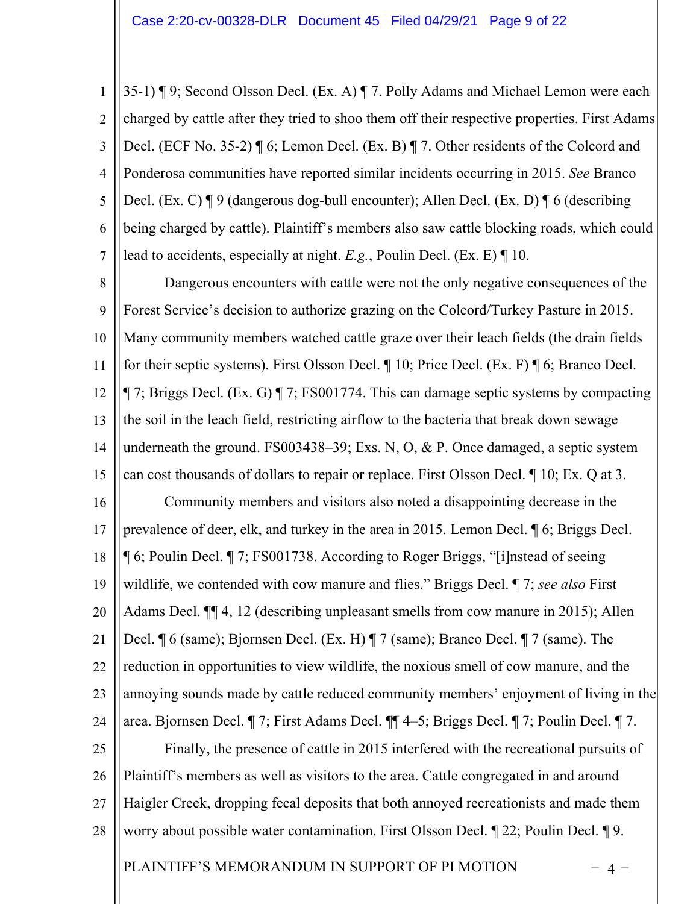1 2 3 4 5 6 7 35-1) ¶ 9; Second Olsson Decl. (Ex. A) ¶ 7. Polly Adams and Michael Lemon were each charged by cattle after they tried to shoo them off their respective properties. First Adams Decl. (ECF No. 35-2) ¶ 6; Lemon Decl. (Ex. B) ¶ 7. Other residents of the Colcord and Ponderosa communities have reported similar incidents occurring in 2015. *See* Branco Decl. (Ex. C) ¶ 9 (dangerous dog-bull encounter); Allen Decl. (Ex. D) ¶ 6 (describing being charged by cattle). Plaintiff's members also saw cattle blocking roads, which could lead to accidents, especially at night. *E.g.*, Poulin Decl. (Ex. E) ¶ 10.

8  $\mathbf Q$ 10 11 12 13 14 15 16 17 18 19 20 21 22 23 24 25 26 27 28 Dangerous encounters with cattle were not the only negative consequences of the Forest Service's decision to authorize grazing on the Colcord/Turkey Pasture in 2015. Many community members watched cattle graze over their leach fields (the drain fields for their septic systems). First Olsson Decl. ¶ 10; Price Decl. (Ex. F) ¶ 6; Branco Decl. ¶ 7; Briggs Decl. (Ex. G) ¶ 7; FS001774. This can damage septic systems by compacting the soil in the leach field, restricting airflow to the bacteria that break down sewage underneath the ground. FS003438–39; Exs. N, O, & P. Once damaged, a septic system can cost thousands of dollars to repair or replace. First Olsson Decl. ¶ 10; Ex. Q at 3. Community members and visitors also noted a disappointing decrease in the prevalence of deer, elk, and turkey in the area in 2015. Lemon Decl. ¶ 6; Briggs Decl. ¶ 6; Poulin Decl. ¶ 7; FS001738. According to Roger Briggs, "[i]nstead of seeing wildlife, we contended with cow manure and flies." Briggs Decl. ¶ 7; *see also* First Adams Decl. ¶¶ 4, 12 (describing unpleasant smells from cow manure in 2015); Allen Decl. ¶ 6 (same); Bjornsen Decl. (Ex. H) ¶ 7 (same); Branco Decl. ¶ 7 (same). The reduction in opportunities to view wildlife, the noxious smell of cow manure, and the annoying sounds made by cattle reduced community members' enjoyment of living in the area. Bjornsen Decl. ¶ 7; First Adams Decl. ¶¶ 4–5; Briggs Decl. ¶ 7; Poulin Decl. ¶ 7. Finally, the presence of cattle in 2015 interfered with the recreational pursuits of Plaintiff's members as well as visitors to the area. Cattle congregated in and around Haigler Creek, dropping fecal deposits that both annoyed recreationists and made them worry about possible water contamination. First Olsson Decl. ¶ 22; Poulin Decl. ¶ 9.

PLAINTIFF'S MEMORANDUM IN SUPPORT OF PI MOTION  $-4$  –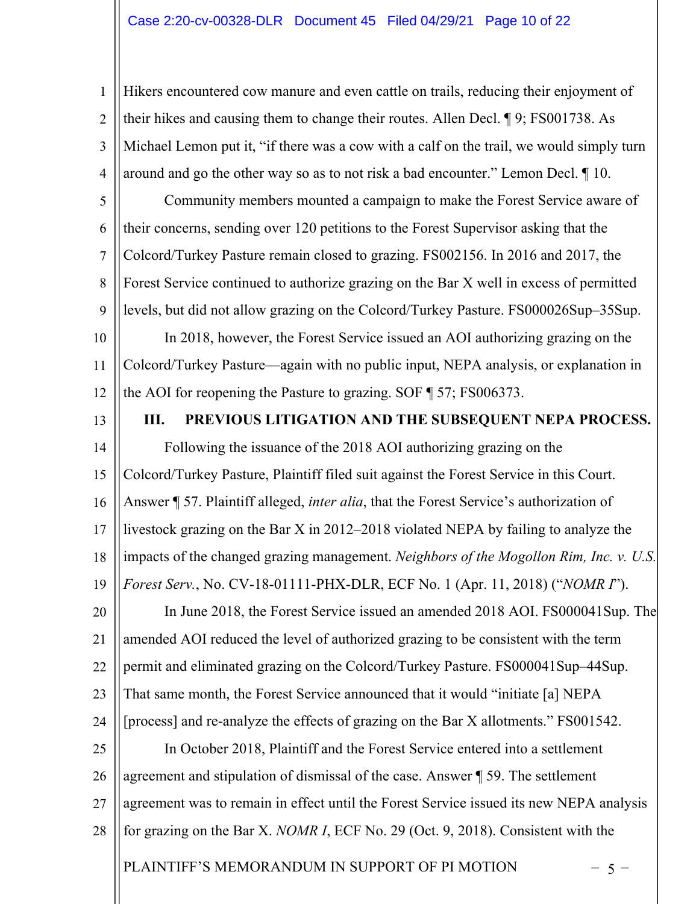1 2 3 4 Hikers encountered cow manure and even cattle on trails, reducing their enjoyment of their hikes and causing them to change their routes. Allen Decl. ¶ 9; FS001738. As Michael Lemon put it, "if there was a cow with a calf on the trail, we would simply turn around and go the other way so as to not risk a bad encounter." Lemon Decl. ¶ 10.

5 6 7 8  $\mathbf Q$ 10 11 12 Community members mounted a campaign to make the Forest Service aware of their concerns, sending over 120 petitions to the Forest Supervisor asking that the Colcord/Turkey Pasture remain closed to grazing. FS002156. In 2016 and 2017, the Forest Service continued to authorize grazing on the Bar X well in excess of permitted levels, but did not allow grazing on the Colcord/Turkey Pasture. FS000026Sup–35Sup. In 2018, however, the Forest Service issued an AOI authorizing grazing on the Colcord/Turkey Pasture—again with no public input, NEPA analysis, or explanation in the AOI for reopening the Pasture to grazing. SOF ¶ 57; FS006373.

13

**III. PREVIOUS LITIGATION AND THE SUBSEQUENT NEPA PROCESS.**

14 15 16 17 18 19 Following the issuance of the 2018 AOI authorizing grazing on the Colcord/Turkey Pasture, Plaintiff filed suit against the Forest Service in this Court. Answer ¶ 57. Plaintiff alleged, *inter alia*, that the Forest Service's authorization of livestock grazing on the Bar X in 2012–2018 violated NEPA by failing to analyze the impacts of the changed grazing management. *Neighbors of the Mogollon Rim, Inc. v. U.S. Forest Serv.*, No. CV-18-01111-PHX-DLR, ECF No. 1 (Apr. 11, 2018) ("*NOMR I*").

20 21 22 23 24 In June 2018, the Forest Service issued an amended 2018 AOI. FS000041Sup. The amended AOI reduced the level of authorized grazing to be consistent with the term permit and eliminated grazing on the Colcord/Turkey Pasture. FS000041Sup–44Sup. That same month, the Forest Service announced that it would "initiate [a] NEPA [process] and re-analyze the effects of grazing on the Bar X allotments." FS001542.

25 26 27 28 In October 2018, Plaintiff and the Forest Service entered into a settlement agreement and stipulation of dismissal of the case. Answer ¶ 59. The settlement agreement was to remain in effect until the Forest Service issued its new NEPA analysis for grazing on the Bar X. *NOMR I*, ECF No. 29 (Oct. 9, 2018). Consistent with the

PLAINTIFF'S MEMORANDUM IN SUPPORT OF PI MOTION  $-5$  –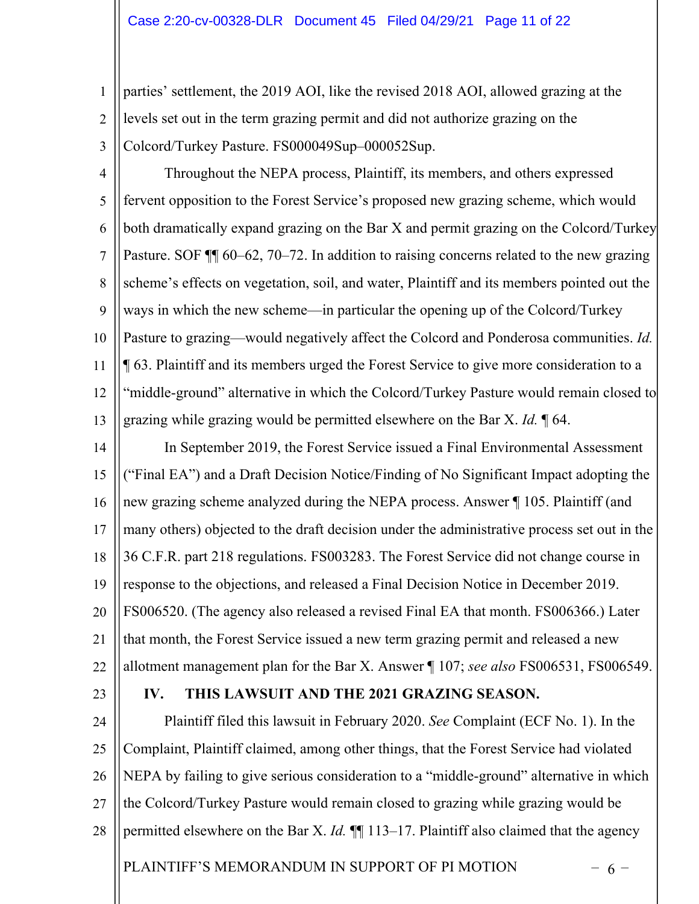1 2 3 parties' settlement, the 2019 AOI, like the revised 2018 AOI, allowed grazing at the levels set out in the term grazing permit and did not authorize grazing on the Colcord/Turkey Pasture. FS000049Sup–000052Sup.

- 4 5 6 7 8  $\mathbf Q$ 10 11 12 13 Throughout the NEPA process, Plaintiff, its members, and others expressed fervent opposition to the Forest Service's proposed new grazing scheme, which would both dramatically expand grazing on the Bar X and permit grazing on the Colcord/Turkey Pasture. SOF  $\P$  60–62, 70–72. In addition to raising concerns related to the new grazing scheme's effects on vegetation, soil, and water, Plaintiff and its members pointed out the ways in which the new scheme—in particular the opening up of the Colcord/Turkey Pasture to grazing—would negatively affect the Colcord and Ponderosa communities. *Id.* ¶ 63. Plaintiff and its members urged the Forest Service to give more consideration to a "middle-ground" alternative in which the Colcord/Turkey Pasture would remain closed to grazing while grazing would be permitted elsewhere on the Bar X. *Id.* ¶ 64.
- 14 15 16 17 18 19 20 21 22 In September 2019, the Forest Service issued a Final Environmental Assessment ("Final EA") and a Draft Decision Notice/Finding of No Significant Impact adopting the new grazing scheme analyzed during the NEPA process. Answer ¶ 105. Plaintiff (and many others) objected to the draft decision under the administrative process set out in the 36 C.F.R. part 218 regulations. FS003283. The Forest Service did not change course in response to the objections, and released a Final Decision Notice in December 2019. FS006520. (The agency also released a revised Final EA that month. FS006366.) Later that month, the Forest Service issued a new term grazing permit and released a new allotment management plan for the Bar X. Answer ¶ 107; *see also* FS006531, FS006549.
- 23

# **IV. THIS LAWSUIT AND THE 2021 GRAZING SEASON.**

PLAINTIFF'S MEMORANDUM IN SUPPORT OF PI MOTION  $-6 -$ 24 25 26 27 28 Plaintiff filed this lawsuit in February 2020. *See* Complaint (ECF No. 1). In the Complaint, Plaintiff claimed, among other things, that the Forest Service had violated NEPA by failing to give serious consideration to a "middle-ground" alternative in which the Colcord/Turkey Pasture would remain closed to grazing while grazing would be permitted elsewhere on the Bar X. *Id.* ¶¶ 113–17. Plaintiff also claimed that the agency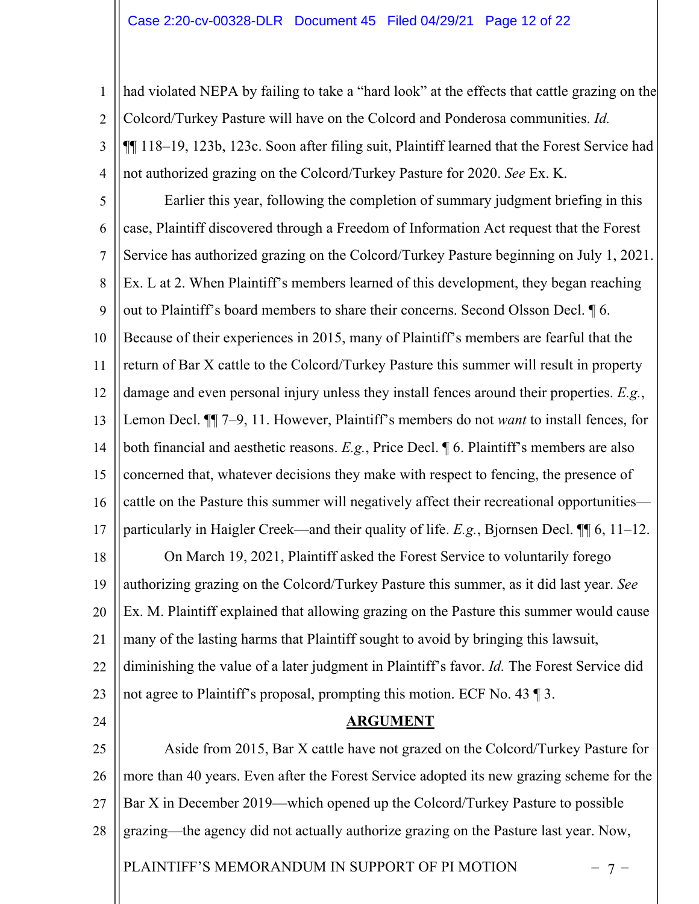1 2 3 4 had violated NEPA by failing to take a "hard look" at the effects that cattle grazing on the Colcord/Turkey Pasture will have on the Colcord and Ponderosa communities. *Id.*  ¶¶ 118–19, 123b, 123c. Soon after filing suit, Plaintiff learned that the Forest Service had not authorized grazing on the Colcord/Turkey Pasture for 2020. *See* Ex. K.

5 6 7 8  $\mathbf Q$ 10 11 12 13 14 15 16 17 Earlier this year, following the completion of summary judgment briefing in this case, Plaintiff discovered through a Freedom of Information Act request that the Forest Service has authorized grazing on the Colcord/Turkey Pasture beginning on July 1, 2021. Ex. L at 2. When Plaintiff's members learned of this development, they began reaching out to Plaintiff's board members to share their concerns. Second Olsson Decl. ¶ 6. Because of their experiences in 2015, many of Plaintiff's members are fearful that the return of Bar X cattle to the Colcord/Turkey Pasture this summer will result in property damage and even personal injury unless they install fences around their properties. *E.g.*, Lemon Decl. ¶¶ 7–9, 11. However, Plaintiff's members do not *want* to install fences, for both financial and aesthetic reasons. *E.g.*, Price Decl. ¶ 6. Plaintiff's members are also concerned that, whatever decisions they make with respect to fencing, the presence of cattle on the Pasture this summer will negatively affect their recreational opportunities particularly in Haigler Creek—and their quality of life. *E.g.*, Bjornsen Decl. ¶¶ 6, 11–12.

18 19 20 21 22 23 On March 19, 2021, Plaintiff asked the Forest Service to voluntarily forego authorizing grazing on the Colcord/Turkey Pasture this summer, as it did last year. *See*  Ex. M. Plaintiff explained that allowing grazing on the Pasture this summer would cause many of the lasting harms that Plaintiff sought to avoid by bringing this lawsuit, diminishing the value of a later judgment in Plaintiff's favor. *Id.* The Forest Service did not agree to Plaintiff's proposal, prompting this motion. ECF No. 43 ¶ 3.

24

# **ARGUMENT**

25 26 27 28 Aside from 2015, Bar X cattle have not grazed on the Colcord/Turkey Pasture for more than 40 years. Even after the Forest Service adopted its new grazing scheme for the Bar X in December 2019—which opened up the Colcord/Turkey Pasture to possible grazing—the agency did not actually authorize grazing on the Pasture last year. Now,

PLAINTIFF'S MEMORANDUM IN SUPPORT OF PI MOTION  $-7$  –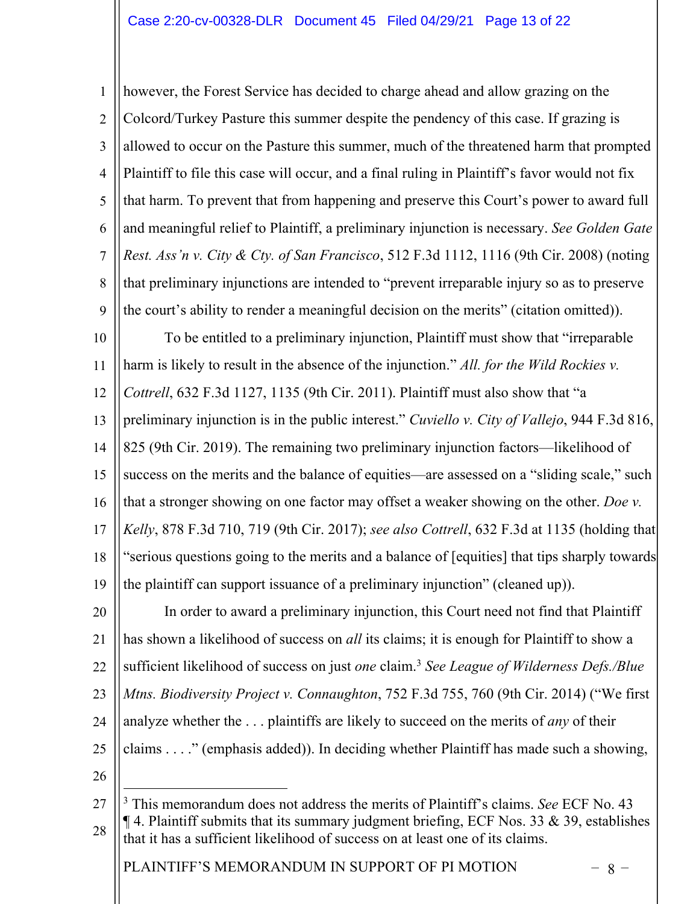1 2 3 4 5 6 7 8  $\mathbf Q$ however, the Forest Service has decided to charge ahead and allow grazing on the Colcord/Turkey Pasture this summer despite the pendency of this case. If grazing is allowed to occur on the Pasture this summer, much of the threatened harm that prompted Plaintiff to file this case will occur, and a final ruling in Plaintiff's favor would not fix that harm. To prevent that from happening and preserve this Court's power to award full and meaningful relief to Plaintiff, a preliminary injunction is necessary. *See Golden Gate Rest. Ass'n v. City & Cty. of San Francisco*, 512 F.3d 1112, 1116 (9th Cir. 2008) (noting that preliminary injunctions are intended to "prevent irreparable injury so as to preserve the court's ability to render a meaningful decision on the merits" (citation omitted)).

10 11 To be entitled to a preliminary injunction, Plaintiff must show that "irreparable harm is likely to result in the absence of the injunction." *All. for the Wild Rockies v.* 

12 *Cottrell*, 632 F.3d 1127, 1135 (9th Cir. 2011). Plaintiff must also show that "a

13 preliminary injunction is in the public interest." *Cuviello v. City of Vallejo*, 944 F.3d 816,

14 15 16 17 18 19 825 (9th Cir. 2019). The remaining two preliminary injunction factors—likelihood of success on the merits and the balance of equities—are assessed on a "sliding scale," such that a stronger showing on one factor may offset a weaker showing on the other. *Doe v. Kelly*, 878 F.3d 710, 719 (9th Cir. 2017); *see also Cottrell*, 632 F.3d at 1135 (holding that "serious questions going to the merits and a balance of [equities] that tips sharply towards the plaintiff can support issuance of a preliminary injunction" (cleaned up)).

20 21 22 23 24 25 In order to award a preliminary injunction, this Court need not find that Plaintiff has shown a likelihood of success on *all* its claims; it is enough for Plaintiff to show a sufficient likelihood of success on just *one* claim.3 *See League of Wilderness Defs./Blue Mtns. Biodiversity Project v. Connaughton*, 752 F.3d 755, 760 (9th Cir. 2014) ("We first analyze whether the . . . plaintiffs are likely to succeed on the merits of *any* of their claims . . . ." (emphasis added)). In deciding whether Plaintiff has made such a showing,

26

PLAINTIFF'S MEMORANDUM IN SUPPORT OF PI MOTION  $-8$  –

<sup>27</sup> 28 <sup>3</sup> This memorandum does not address the merits of Plaintiff's claims. *See* ECF No. 43  $\P$  4. Plaintiff submits that its summary judgment briefing, ECF Nos. 33 & 39, establishes that it has a sufficient likelihood of success on at least one of its claims.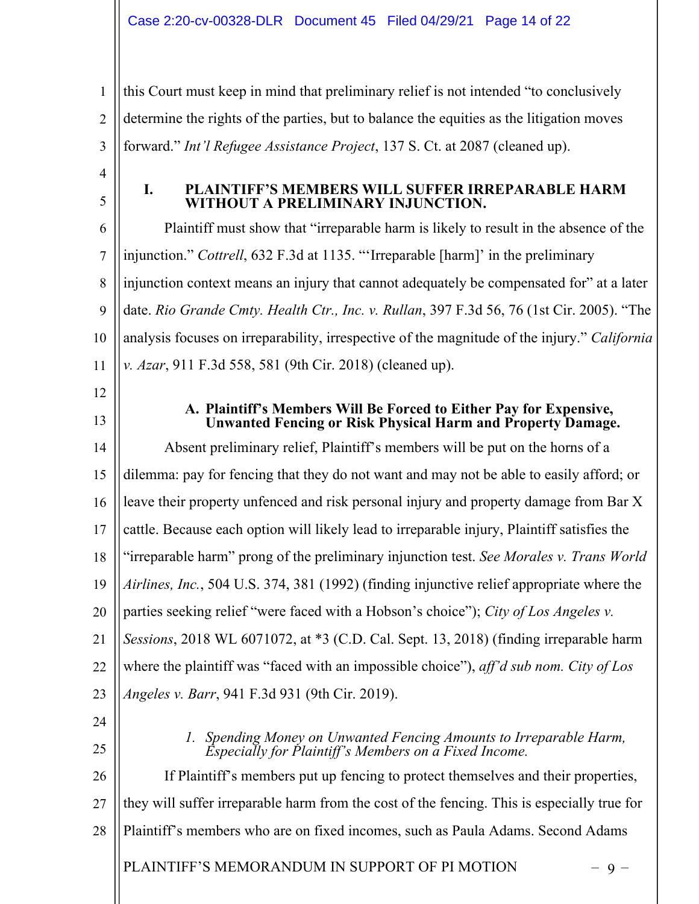PLAINTIFF'S MEMORANDUM IN SUPPORT OF PI MOTION - 9 -1 2 3 4 5 6 7 8 9 10 11 12 13 14 15 16 17 18 19 20 21 22 23 24 25 26 27 28 this Court must keep in mind that preliminary relief is not intended "to conclusively determine the rights of the parties, but to balance the equities as the litigation moves forward." *Int'l Refugee Assistance Project*, 137 S. Ct. at 2087 (cleaned up). **I. PLAINTIFF'S MEMBERS WILL SUFFER IRREPARABLE HARM WITHOUT A PRELIMINARY INJUNCTION.** Plaintiff must show that "irreparable harm is likely to result in the absence of the injunction." *Cottrell*, 632 F.3d at 1135. "'Irreparable [harm]' in the preliminary injunction context means an injury that cannot adequately be compensated for" at a later date. *Rio Grande Cmty. Health Ctr., Inc. v. Rullan*, 397 F.3d 56, 76 (1st Cir. 2005). "The analysis focuses on irreparability, irrespective of the magnitude of the injury." *California v. Azar*, 911 F.3d 558, 581 (9th Cir. 2018) (cleaned up). **A. Plaintiff's Members Will Be Forced to Either Pay for Expensive, Unwanted Fencing or Risk Physical Harm and Property Damage.** Absent preliminary relief, Plaintiff's members will be put on the horns of a dilemma: pay for fencing that they do not want and may not be able to easily afford; or leave their property unfenced and risk personal injury and property damage from Bar X cattle. Because each option will likely lead to irreparable injury, Plaintiff satisfies the "irreparable harm" prong of the preliminary injunction test. *See Morales v. Trans World Airlines, Inc.*, 504 U.S. 374, 381 (1992) (finding injunctive relief appropriate where the parties seeking relief "were faced with a Hobson's choice"); *City of Los Angeles v. Sessions*, 2018 WL 6071072, at \*3 (C.D. Cal. Sept. 13, 2018) (finding irreparable harm where the plaintiff was "faced with an impossible choice"), *aff'd sub nom. City of Los Angeles v. Barr*, 941 F.3d 931 (9th Cir. 2019). *1. Spending Money on Unwanted Fencing Amounts to Irreparable Harm, Especially for Plaintiff's Members on a Fixed Income.* If Plaintiff's members put up fencing to protect themselves and their properties, they will suffer irreparable harm from the cost of the fencing. This is especially true for Plaintiff's members who are on fixed incomes, such as Paula Adams. Second Adams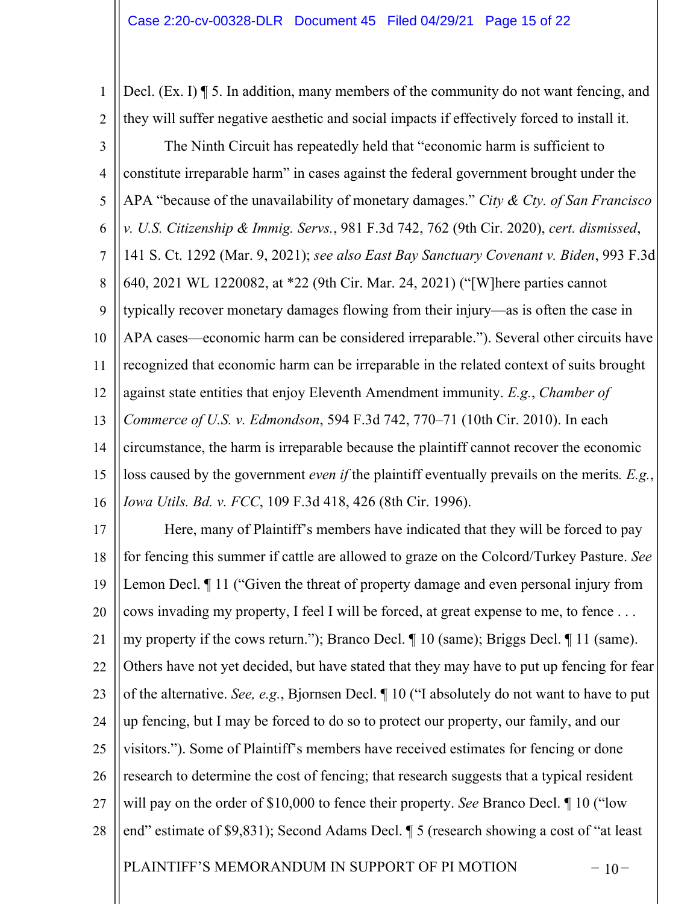1 2 3 4 5 6 7 8 9 10 11 12 13 14 15 16 Decl. (Ex. I) ¶ 5. In addition, many members of the community do not want fencing, and they will suffer negative aesthetic and social impacts if effectively forced to install it. The Ninth Circuit has repeatedly held that "economic harm is sufficient to constitute irreparable harm" in cases against the federal government brought under the APA "because of the unavailability of monetary damages." *City & Cty. of San Francisco v. U.S. Citizenship & Immig. Servs.*, 981 F.3d 742, 762 (9th Cir. 2020), *cert. dismissed*, 141 S. Ct. 1292 (Mar. 9, 2021); *see also East Bay Sanctuary Covenant v. Biden*, 993 F.3d 640, 2021 WL 1220082, at \*22 (9th Cir. Mar. 24, 2021) ("[W]here parties cannot typically recover monetary damages flowing from their injury—as is often the case in APA cases—economic harm can be considered irreparable."). Several other circuits have recognized that economic harm can be irreparable in the related context of suits brought against state entities that enjoy Eleventh Amendment immunity. *E.g.*, *Chamber of Commerce of U.S. v. Edmondson*, 594 F.3d 742, 770–71 (10th Cir. 2010). In each circumstance, the harm is irreparable because the plaintiff cannot recover the economic loss caused by the government *even if* the plaintiff eventually prevails on the merits*. E.g.*, *Iowa Utils. Bd. v. FCC*, 109 F.3d 418, 426 (8th Cir. 1996).

PLAINTIFF'S MEMORANDUM IN SUPPORT OF PI MOTION  $-10$  – 17 18 19 20 21 22 23 24 25 26 27 28 Here, many of Plaintiff's members have indicated that they will be forced to pay for fencing this summer if cattle are allowed to graze on the Colcord/Turkey Pasture. *See* Lemon Decl. ¶ 11 ("Given the threat of property damage and even personal injury from cows invading my property, I feel I will be forced, at great expense to me, to fence . . . my property if the cows return."); Branco Decl. ¶ 10 (same); Briggs Decl. ¶ 11 (same). Others have not yet decided, but have stated that they may have to put up fencing for fear of the alternative. *See, e.g.*, Bjornsen Decl. ¶ 10 ("I absolutely do not want to have to put up fencing, but I may be forced to do so to protect our property, our family, and our visitors."). Some of Plaintiff's members have received estimates for fencing or done research to determine the cost of fencing; that research suggests that a typical resident will pay on the order of \$10,000 to fence their property. *See* Branco Decl. ¶ 10 ("low end" estimate of \$9,831); Second Adams Decl. ¶ 5 (research showing a cost of "at least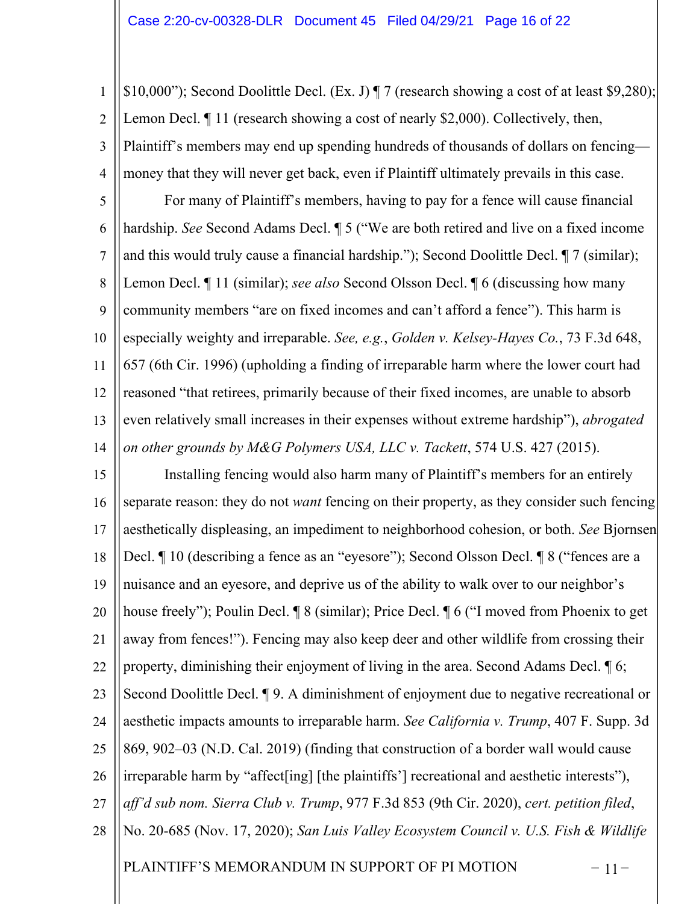1 2 3 4 \$10,000"); Second Doolittle Decl. (Ex. J) ¶ 7 (research showing a cost of at least \$9,280); Lemon Decl.  $\P$  11 (research showing a cost of nearly \$2,000). Collectively, then, Plaintiff's members may end up spending hundreds of thousands of dollars on fencing money that they will never get back, even if Plaintiff ultimately prevails in this case.

5 6 7 8  $\mathbf Q$ 10 11 12 13 14 For many of Plaintiff's members, having to pay for a fence will cause financial hardship. *See* Second Adams Decl. ¶ 5 ("We are both retired and live on a fixed income and this would truly cause a financial hardship."); Second Doolittle Decl. ¶ 7 (similar); Lemon Decl. ¶ 11 (similar); *see also* Second Olsson Decl. ¶ 6 (discussing how many community members "are on fixed incomes and can't afford a fence"). This harm is especially weighty and irreparable. *See, e.g.*, *Golden v. Kelsey-Hayes Co.*, 73 F.3d 648, 657 (6th Cir. 1996) (upholding a finding of irreparable harm where the lower court had reasoned "that retirees, primarily because of their fixed incomes, are unable to absorb even relatively small increases in their expenses without extreme hardship"), *abrogated on other grounds by M&G Polymers USA, LLC v. Tackett*, 574 U.S. 427 (2015).

15 16 17 18 19 20 21 22 23 24 25 26 27 28 Installing fencing would also harm many of Plaintiff's members for an entirely separate reason: they do not *want* fencing on their property, as they consider such fencing aesthetically displeasing, an impediment to neighborhood cohesion, or both. *See* Bjornsen Decl. ¶ 10 (describing a fence as an "eyesore"); Second Olsson Decl. ¶ 8 ("fences are a nuisance and an eyesore, and deprive us of the ability to walk over to our neighbor's house freely"); Poulin Decl. ¶ 8 (similar); Price Decl. ¶ 6 ("I moved from Phoenix to get away from fences!"). Fencing may also keep deer and other wildlife from crossing their property, diminishing their enjoyment of living in the area. Second Adams Decl. ¶ 6; Second Doolittle Decl. ¶ 9. A diminishment of enjoyment due to negative recreational or aesthetic impacts amounts to irreparable harm. *See California v. Trump*, 407 F. Supp. 3d 869, 902–03 (N.D. Cal. 2019) (finding that construction of a border wall would cause irreparable harm by "affect[ing] [the plaintiffs'] recreational and aesthetic interests"), *aff'd sub nom. Sierra Club v. Trump*, 977 F.3d 853 (9th Cir. 2020), *cert. petition filed*, No. 20-685 (Nov. 17, 2020); *San Luis Valley Ecosystem Council v. U.S. Fish & Wildlife* 

PLAINTIFF'S MEMORANDUM IN SUPPORT OF PI MOTION  $-11-$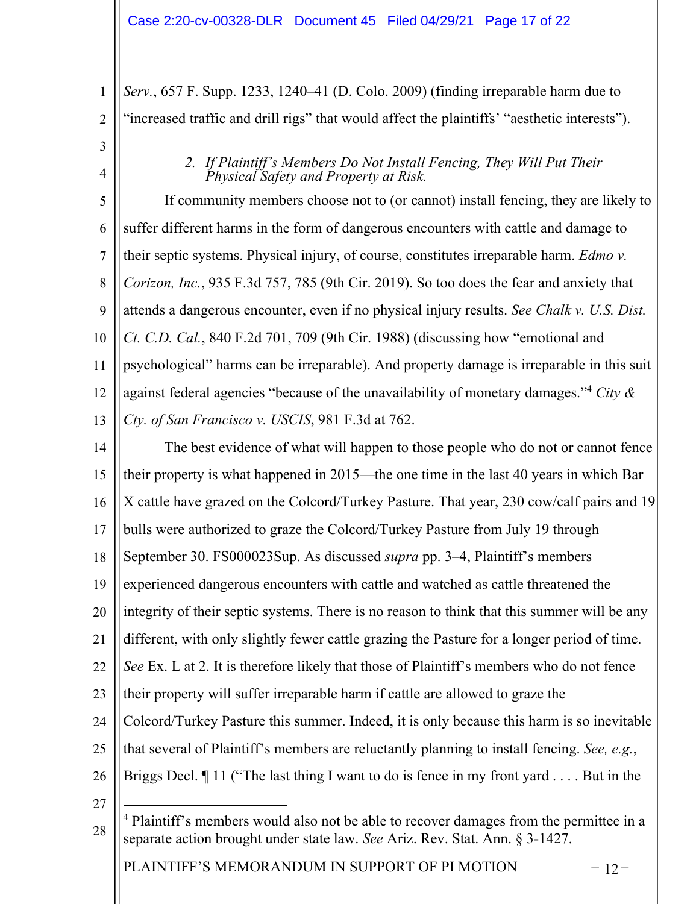1 2 3 *Serv.*, 657 F. Supp. 1233, 1240–41 (D. Colo. 2009) (finding irreparable harm due to "increased traffic and drill rigs" that would affect the plaintiffs' "aesthetic interests"). *2. If Plaintiff's Members Do Not Install Fencing, They Will Put Their*

*Physical Safety and Property at Risk.*

5 6 7 8  $\mathbf Q$ 10 11 12 13 If community members choose not to (or cannot) install fencing, they are likely to suffer different harms in the form of dangerous encounters with cattle and damage to their septic systems. Physical injury, of course, constitutes irreparable harm. *Edmo v. Corizon, Inc.*, 935 F.3d 757, 785 (9th Cir. 2019). So too does the fear and anxiety that attends a dangerous encounter, even if no physical injury results. *See Chalk v. U.S. Dist. Ct. C.D. Cal.*, 840 F.2d 701, 709 (9th Cir. 1988) (discussing how "emotional and psychological" harms can be irreparable). And property damage is irreparable in this suit against federal agencies "because of the unavailability of monetary damages."4 *City & Cty. of San Francisco v. USCIS*, 981 F.3d at 762.

14 15 16 17 18 19 20 21 22 23 24 25 26 27 The best evidence of what will happen to those people who do not or cannot fence their property is what happened in 2015—the one time in the last 40 years in which Bar X cattle have grazed on the Colcord/Turkey Pasture. That year, 230 cow/calf pairs and 19 bulls were authorized to graze the Colcord/Turkey Pasture from July 19 through September 30. FS000023Sup. As discussed *supra* pp. 3–4, Plaintiff's members experienced dangerous encounters with cattle and watched as cattle threatened the integrity of their septic systems. There is no reason to think that this summer will be any different, with only slightly fewer cattle grazing the Pasture for a longer period of time. *See* Ex. L at 2. It is therefore likely that those of Plaintiff's members who do not fence their property will suffer irreparable harm if cattle are allowed to graze the Colcord/Turkey Pasture this summer. Indeed, it is only because this harm is so inevitable that several of Plaintiff's members are reluctantly planning to install fencing. *See, e.g.*, Briggs Decl.  $\P$  11 ("The last thing I want to do is fence in my front yard . . . . But in the

28

4

<sup>4</sup> Plaintiff's members would also not be able to recover damages from the permittee in a separate action brought under state law. *See* Ariz. Rev. Stat. Ann. § 3-1427.

PLAINTIFF'S MEMORANDUM IN SUPPORT OF PI MOTION  $-12$  –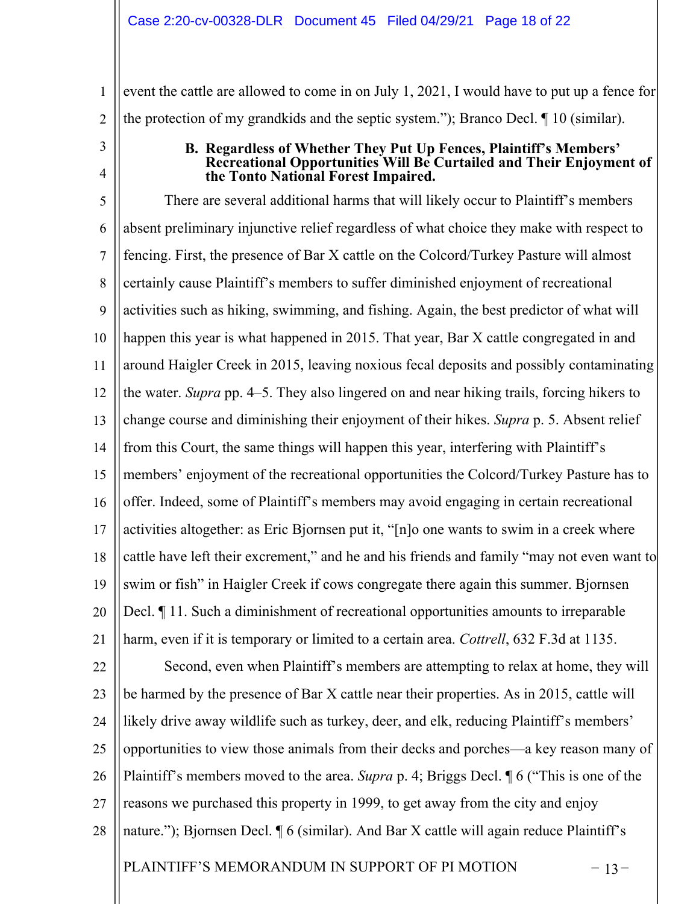1 2 event the cattle are allowed to come in on July 1, 2021, I would have to put up a fence for the protection of my grandkids and the septic system."); Branco Decl. ¶ 10 (similar).

# 3

4

#### **B. Regardless of Whether They Put Up Fences, Plaintiff's Members' Recreational Opportunities Will Be Curtailed and Their Enjoyment of the Tonto National Forest Impaired.**

5 6 7 8 9 10 11 12 13 14 15 16 17 18 19 20 21 There are several additional harms that will likely occur to Plaintiff's members absent preliminary injunctive relief regardless of what choice they make with respect to fencing. First, the presence of Bar X cattle on the Colcord/Turkey Pasture will almost certainly cause Plaintiff's members to suffer diminished enjoyment of recreational activities such as hiking, swimming, and fishing. Again, the best predictor of what will happen this year is what happened in 2015. That year, Bar X cattle congregated in and around Haigler Creek in 2015, leaving noxious fecal deposits and possibly contaminating the water. *Supra* pp. 4–5. They also lingered on and near hiking trails, forcing hikers to change course and diminishing their enjoyment of their hikes. *Supra* p. 5. Absent relief from this Court, the same things will happen this year, interfering with Plaintiff's members' enjoyment of the recreational opportunities the Colcord/Turkey Pasture has to offer. Indeed, some of Plaintiff's members may avoid engaging in certain recreational activities altogether: as Eric Bjornsen put it, "[n]o one wants to swim in a creek where cattle have left their excrement," and he and his friends and family "may not even want to swim or fish" in Haigler Creek if cows congregate there again this summer. Bjornsen Decl. ¶ 11. Such a diminishment of recreational opportunities amounts to irreparable harm, even if it is temporary or limited to a certain area. *Cottrell*, 632 F.3d at 1135.

PLAINTIFF'S MEMORANDUM IN SUPPORT OF PI MOTION  $-13-$ 22 23 24 25 26 27 28 Second, even when Plaintiff's members are attempting to relax at home, they will be harmed by the presence of Bar X cattle near their properties. As in 2015, cattle will likely drive away wildlife such as turkey, deer, and elk, reducing Plaintiff's members' opportunities to view those animals from their decks and porches—a key reason many of Plaintiff's members moved to the area. *Supra* p. 4; Briggs Decl. ¶ 6 ("This is one of the reasons we purchased this property in 1999, to get away from the city and enjoy nature."); Bjornsen Decl. ¶ 6 (similar). And Bar X cattle will again reduce Plaintiff's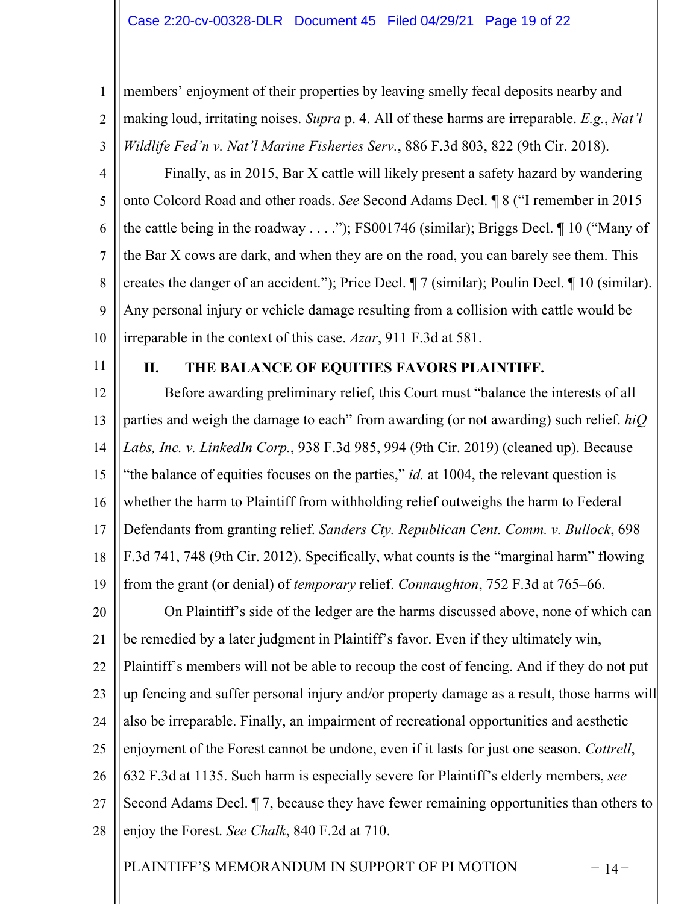1 2 3 members' enjoyment of their properties by leaving smelly fecal deposits nearby and making loud, irritating noises. *Supra* p. 4. All of these harms are irreparable. *E.g.*, *Nat'l Wildlife Fed'n v. Nat'l Marine Fisheries Serv.*, 886 F.3d 803, 822 (9th Cir. 2018).

4 5 6 7 8  $\mathbf Q$ 10 Finally, as in 2015, Bar X cattle will likely present a safety hazard by wandering onto Colcord Road and other roads. *See* Second Adams Decl. ¶ 8 ("I remember in 2015 the cattle being in the roadway . . . ."); FS001746 (similar); Briggs Decl.  $\P$  10 ("Many of the Bar X cows are dark, and when they are on the road, you can barely see them. This creates the danger of an accident."); Price Decl. ¶ 7 (similar); Poulin Decl. ¶ 10 (similar). Any personal injury or vehicle damage resulting from a collision with cattle would be irreparable in the context of this case. *Azar*, 911 F.3d at 581.

11

# **II. THE BALANCE OF EQUITIES FAVORS PLAINTIFF.**

12 13 14 15 16 17 18 19 Before awarding preliminary relief, this Court must "balance the interests of all parties and weigh the damage to each" from awarding (or not awarding) such relief. *hiQ Labs, Inc. v. LinkedIn Corp.*, 938 F.3d 985, 994 (9th Cir. 2019) (cleaned up). Because "the balance of equities focuses on the parties," *id.* at 1004, the relevant question is whether the harm to Plaintiff from withholding relief outweighs the harm to Federal Defendants from granting relief. *Sanders Cty. Republican Cent. Comm. v. Bullock*, 698 F.3d 741, 748 (9th Cir. 2012). Specifically, what counts is the "marginal harm" flowing from the grant (or denial) of *temporary* relief. *Connaughton*, 752 F.3d at 765–66.

20 21 22 23 24 25 26 27 28 On Plaintiff's side of the ledger are the harms discussed above, none of which can be remedied by a later judgment in Plaintiff's favor. Even if they ultimately win, Plaintiff's members will not be able to recoup the cost of fencing. And if they do not put up fencing and suffer personal injury and/or property damage as a result, those harms will also be irreparable. Finally, an impairment of recreational opportunities and aesthetic enjoyment of the Forest cannot be undone, even if it lasts for just one season. *Cottrell*, 632 F.3d at 1135. Such harm is especially severe for Plaintiff's elderly members, *see*  Second Adams Decl. ¶ 7, because they have fewer remaining opportunities than others to enjoy the Forest. *See Chalk*, 840 F.2d at 710.

PLAINTIFF'S MEMORANDUM IN SUPPORT OF PI MOTION  $-14-$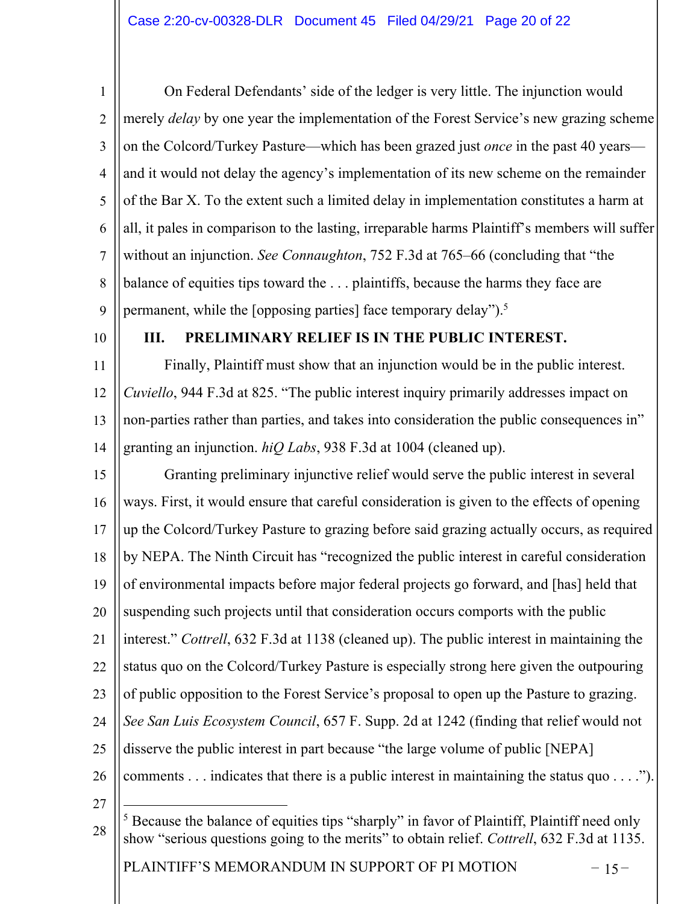1 2 3 4 5 6 7 8 9 On Federal Defendants' side of the ledger is very little. The injunction would merely *delay* by one year the implementation of the Forest Service's new grazing scheme on the Colcord/Turkey Pasture—which has been grazed just *once* in the past 40 years and it would not delay the agency's implementation of its new scheme on the remainder of the Bar X. To the extent such a limited delay in implementation constitutes a harm at all, it pales in comparison to the lasting, irreparable harms Plaintiff's members will suffer without an injunction. *See Connaughton*, 752 F.3d at 765–66 (concluding that "the balance of equities tips toward the . . . plaintiffs, because the harms they face are permanent, while the [opposing parties] face temporary delay").<sup>5</sup>

10

# **III. PRELIMINARY RELIEF IS IN THE PUBLIC INTEREST.**

11 12 13 14 Finally, Plaintiff must show that an injunction would be in the public interest. *Cuviello*, 944 F.3d at 825. "The public interest inquiry primarily addresses impact on non-parties rather than parties, and takes into consideration the public consequences in" granting an injunction. *hiQ Labs*, 938 F.3d at 1004 (cleaned up).

15 16 17 18 19 20 21 22 23 24 25 26 27 Granting preliminary injunctive relief would serve the public interest in several ways. First, it would ensure that careful consideration is given to the effects of opening up the Colcord/Turkey Pasture to grazing before said grazing actually occurs, as required by NEPA. The Ninth Circuit has "recognized the public interest in careful consideration of environmental impacts before major federal projects go forward, and [has] held that suspending such projects until that consideration occurs comports with the public interest." *Cottrell*, 632 F.3d at 1138 (cleaned up). The public interest in maintaining the status quo on the Colcord/Turkey Pasture is especially strong here given the outpouring of public opposition to the Forest Service's proposal to open up the Pasture to grazing. *See San Luis Ecosystem Council*, 657 F. Supp. 2d at 1242 (finding that relief would not disserve the public interest in part because "the large volume of public [NEPA] comments . . . indicates that there is a public interest in maintaining the status quo . . . .").

28  $<sup>5</sup>$  Because the balance of equities tips "sharply" in favor of Plaintiff, Plaintiff need only</sup> show "serious questions going to the merits" to obtain relief. *Cottrell*, 632 F.3d at 1135.

PLAINTIFF'S MEMORANDUM IN SUPPORT OF PI MOTION  $-15$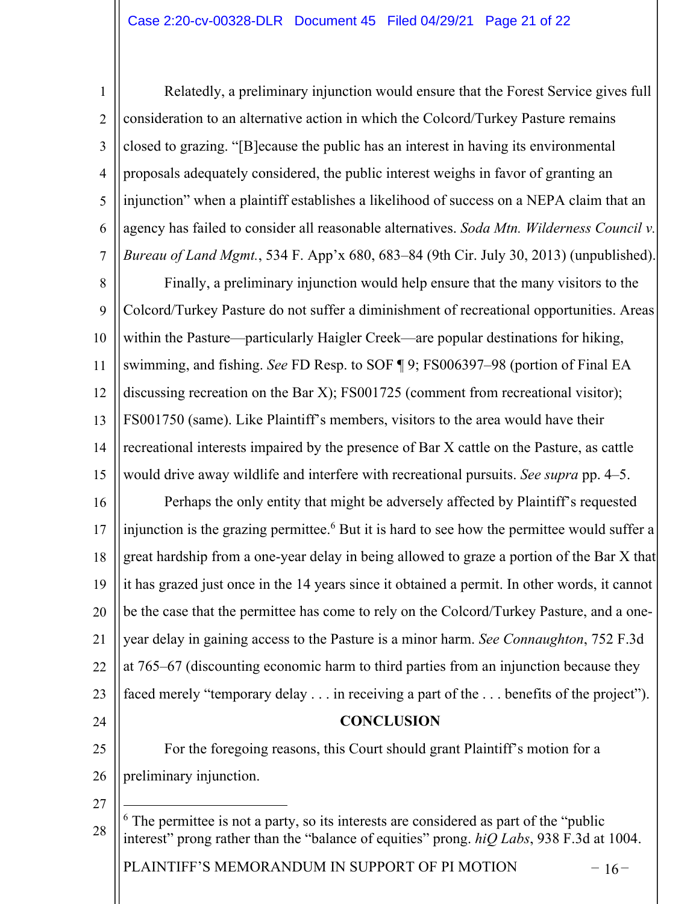1 2 3 4 5 6 7 Relatedly, a preliminary injunction would ensure that the Forest Service gives full consideration to an alternative action in which the Colcord/Turkey Pasture remains closed to grazing. "[B]ecause the public has an interest in having its environmental proposals adequately considered, the public interest weighs in favor of granting an injunction" when a plaintiff establishes a likelihood of success on a NEPA claim that an agency has failed to consider all reasonable alternatives. *Soda Mtn. Wilderness Council v. Bureau of Land Mgmt.*, 534 F. App'x 680, 683–84 (9th Cir. July 30, 2013) (unpublished).

8  $\mathbf Q$ 10 11 12 13 14 15 Finally, a preliminary injunction would help ensure that the many visitors to the Colcord/Turkey Pasture do not suffer a diminishment of recreational opportunities. Areas within the Pasture—particularly Haigler Creek—are popular destinations for hiking, swimming, and fishing. *See* FD Resp. to SOF ¶ 9; FS006397–98 (portion of Final EA discussing recreation on the Bar X); FS001725 (comment from recreational visitor); FS001750 (same). Like Plaintiff's members, visitors to the area would have their recreational interests impaired by the presence of Bar X cattle on the Pasture, as cattle would drive away wildlife and interfere with recreational pursuits. *See supra* pp. 4–5.

16 17 18 19 20 21 22 23 24 Perhaps the only entity that might be adversely affected by Plaintiff's requested injunction is the grazing permittee.<sup>6</sup> But it is hard to see how the permittee would suffer a great hardship from a one-year delay in being allowed to graze a portion of the Bar X that it has grazed just once in the 14 years since it obtained a permit. In other words, it cannot be the case that the permittee has come to rely on the Colcord/Turkey Pasture, and a oneyear delay in gaining access to the Pasture is a minor harm. *See Connaughton*, 752 F.3d at 765–67 (discounting economic harm to third parties from an injunction because they faced merely "temporary delay . . . in receiving a part of the . . . benefits of the project").

25

**CONCLUSION**

For the foregoing reasons, this Court should grant Plaintiff's motion for a preliminary injunction.

27

26

28  $6$  The permittee is not a party, so its interests are considered as part of the "public" interest" prong rather than the "balance of equities" prong. *hiQ Labs*, 938 F.3d at 1004.

PLAINTIFF'S MEMORANDUM IN SUPPORT OF PI MOTION  $-16$